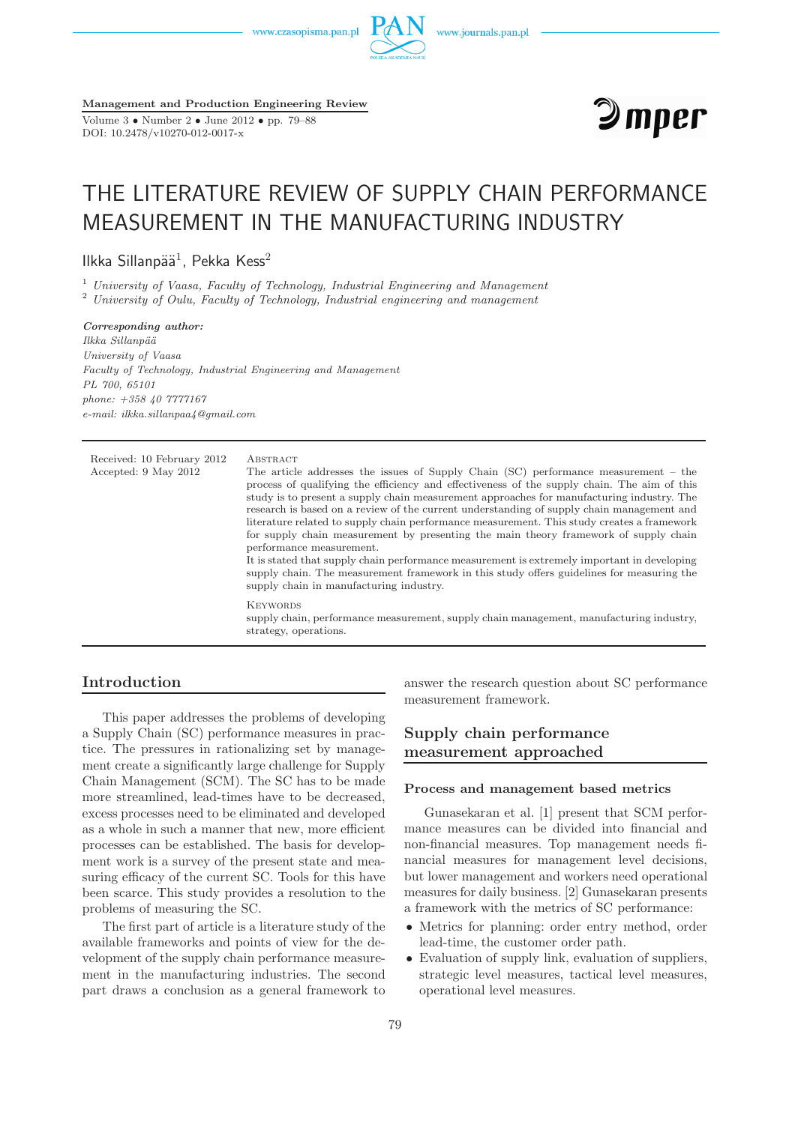www.czasopisma.pan.pl



**Management and Production Engineering Review**

Volume 3 • Number 2 • June 2012 • pp. 79–88 DOI: 10.2478/v10270-012-0017-x



# THE LITERATURE REVIEW OF SUPPLY CHAIN PERFORMANCE MEASUREMENT IN THE MANUFACTURING INDUSTRY

Ilkka Sillanpää $^1$ , Pekka Kess $^2$ 

<sup>1</sup> *University of Vaasa, Faculty of Technology, Industrial Engineering and Management* <sup>2</sup> *University of Oulu, Faculty of Technology, Industrial engineering and management*

*Corresponding author: Ilkka Sillanp¨a¨a University of Vaasa Faculty of Technology, Industrial Engineering and Management PL 700, 65101 phone: +358 40 7777167 e-mail: ilkka.sillanpaa4@gmail.com*

| Received: 10 February 2012<br>Accepted: 9 May 2012 | ABSTRACT<br>The article addresses the issues of Supply Chain $(SC)$ performance measurement – the<br>process of qualifying the efficiency and effectiveness of the supply chain. The aim of this<br>study is to present a supply chain measurement approaches for manufacturing industry. The<br>research is based on a review of the current understanding of supply chain management and<br>literature related to supply chain performance measurement. This study creates a framework<br>for supply chain measurement by presenting the main theory framework of supply chain<br>performance measurement.<br>It is stated that supply chain performance measurement is extremely important in developing<br>supply chain. The measurement framework in this study offers guidelines for measuring the<br>supply chain in manufacturing industry. |
|----------------------------------------------------|-----------------------------------------------------------------------------------------------------------------------------------------------------------------------------------------------------------------------------------------------------------------------------------------------------------------------------------------------------------------------------------------------------------------------------------------------------------------------------------------------------------------------------------------------------------------------------------------------------------------------------------------------------------------------------------------------------------------------------------------------------------------------------------------------------------------------------------------------------|
|                                                    | <b>KEYWORDS</b><br>supply chain, performance measurement, supply chain management, manufacturing industry,<br>strategy, operations.                                                                                                                                                                                                                                                                                                                                                                                                                                                                                                                                                                                                                                                                                                                 |

# **Introduction**

This paper addresses the problems of developing a Supply Chain (SC) performance measures in practice. The pressures in rationalizing set by management create a significantly large challenge for Supply Chain Management (SCM). The SC has to be made more streamlined, lead-times have to be decreased, excess processes need to be eliminated and developed as a whole in such a manner that new, more efficient processes can be established. The basis for development work is a survey of the present state and measuring efficacy of the current SC. Tools for this have been scarce. This study provides a resolution to the problems of measuring the SC.

The first part of article is a literature study of the available frameworks and points of view for the development of the supply chain performance measurement in the manufacturing industries. The second part draws a conclusion as a general framework to answer the research question about SC performance measurement framework.

# **Supply chain performance measurement approached**

## **Process and management based metrics**

Gunasekaran et al. [1] present that SCM performance measures can be divided into financial and non-financial measures. Top management needs financial measures for management level decisions, but lower management and workers need operational measures for daily business. [2] Gunasekaran presents a framework with the metrics of SC performance:

- Metrics for planning: order entry method, order lead-time, the customer order path.
- Evaluation of supply link, evaluation of suppliers, strategic level measures, tactical level measures, operational level measures.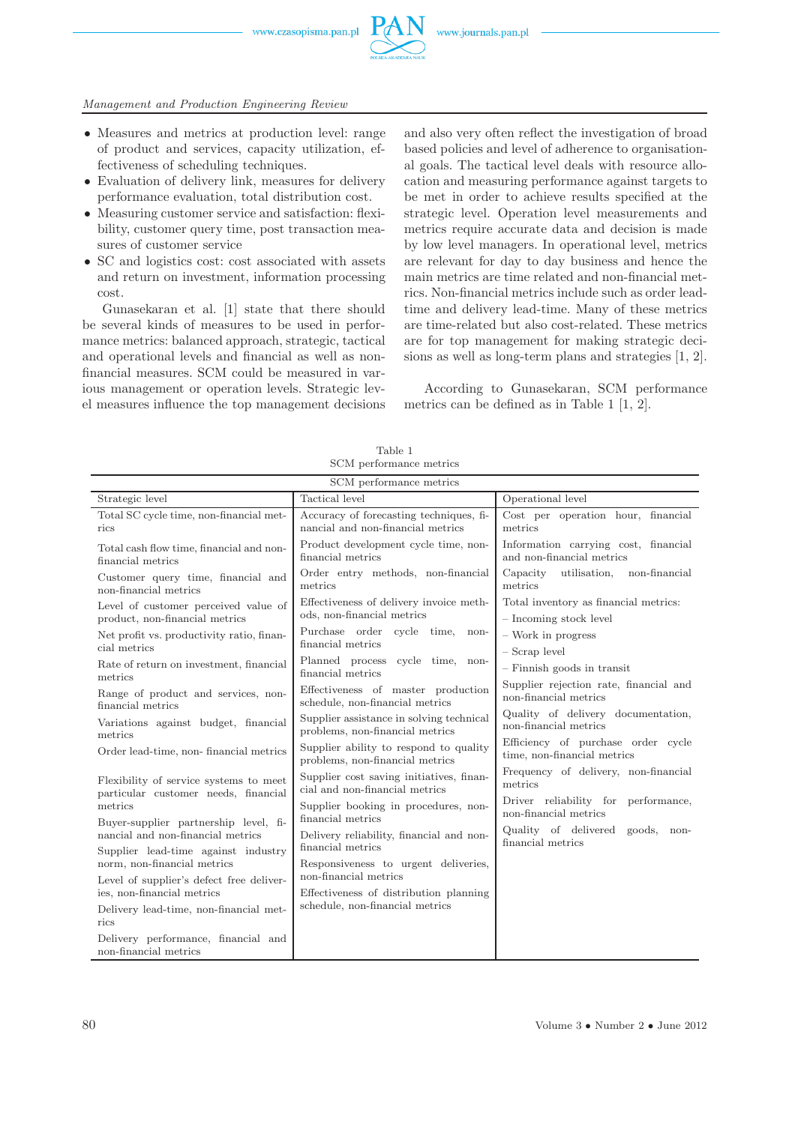

• Measures and metrics at production level: range of product and services, capacity utilization, effectiveness of scheduling techniques.

*Management and Production Engineering Review*

- Evaluation of delivery link, measures for delivery performance evaluation, total distribution cost.
- Measuring customer service and satisfaction: flexibility, customer query time, post transaction measures of customer service
- SC and logistics cost: cost associated with assets and return on investment, information processing cost.

Gunasekaran et al. [1] state that there should be several kinds of measures to be used in performance metrics: balanced approach, strategic, tactical and operational levels and financial as well as nonfinancial measures. SCM could be measured in various management or operation levels. Strategic level measures influence the top management decisions

and also very often reflect the investigation of broad based policies and level of adherence to organisational goals. The tactical level deals with resource allocation and measuring performance against targets to be met in order to achieve results specified at the strategic level. Operation level measurements and metrics require accurate data and decision is made by low level managers. In operational level, metrics are relevant for day to day business and hence the main metrics are time related and non-financial metrics. Non-financial metrics include such as order leadtime and delivery lead-time. Many of these metrics are time-related but also cost-related. These metrics are for top management for making strategic decisions as well as long-term plans and strategies [1, 2].

According to Gunasekaran, SCM performance metrics can be defined as in Table 1 [1, 2].

| SCM performance metrics                                                        |                                                                              |                                                                   |  |
|--------------------------------------------------------------------------------|------------------------------------------------------------------------------|-------------------------------------------------------------------|--|
| Strategic level                                                                | Tactical level                                                               | Operational level                                                 |  |
| Total SC cycle time, non-financial met-<br>rics                                | Accuracy of forecasting techniques, fi-<br>nancial and non-financial metrics | Cost per operation hour, financial<br>metrics                     |  |
| Total cash flow time, financial and non-<br>financial metrics                  | Product development cycle time, non-<br>financial metrics                    | Information carrying cost, financial<br>and non-financial metrics |  |
| Customer query time, financial and<br>non-financial metrics                    | Order entry methods, non-financial<br>metrics                                | Capacity<br>utilisation,<br>non-financial<br>metrics              |  |
| Level of customer perceived value of<br>product, non-financial metrics         | Effectiveness of delivery invoice meth-<br>ods, non-financial metrics        | Total inventory as financial metrics:<br>- Incoming stock level   |  |
| Net profit vs. productivity ratio, finan-<br>cial metrics                      | Purchase order cycle time,<br>non-<br>financial metrics                      | $-$ Work in progress<br>- Scrap level                             |  |
| Rate of return on investment, financial<br>metrics                             | Planned process cycle time, non-<br>financial metrics                        | $-$ Finnish goods in transit                                      |  |
| Range of product and services, non-<br>financial metrics                       | Effectiveness of master production<br>schedule, non-financial metrics        | Supplier rejection rate, financial and<br>non-financial metrics   |  |
| Variations against budget, financial<br>metrics                                | Supplier assistance in solving technical<br>problems, non-financial metrics  | Quality of delivery documentation,<br>non-financial metrics       |  |
| Order lead-time, non-financial metrics                                         | Supplier ability to respond to quality<br>problems, non-financial metrics    | Efficiency of purchase order cycle<br>time, non-financial metrics |  |
| Flexibility of service systems to meet<br>particular customer needs, financial | Supplier cost saving initiatives, finan-<br>cial and non-financial metrics   | Frequency of delivery, non-financial<br>metrics                   |  |
| metrics<br>Buyer-supplier partnership level, fi-                               | Supplier booking in procedures, non-<br>financial metrics                    | Driver reliability for performance,<br>non-financial metrics      |  |
| nancial and non-financial metrics<br>Supplier lead-time against industry       | Delivery reliability, financial and non-<br>financial metrics                | Quality of delivered goods, non-<br>financial metrics             |  |
| norm, non-financial metrics                                                    | Responsiveness to urgent deliveries,                                         |                                                                   |  |
| Level of supplier's defect free deliver-                                       | non-financial metrics                                                        |                                                                   |  |
| ies, non-financial metrics                                                     | Effectiveness of distribution planning<br>schedule, non-financial metrics    |                                                                   |  |
| Delivery lead-time, non-financial met-<br>rics                                 |                                                                              |                                                                   |  |
| Delivery performance, financial and<br>non-financial metrics                   |                                                                              |                                                                   |  |

Table 1 SCM performance metrics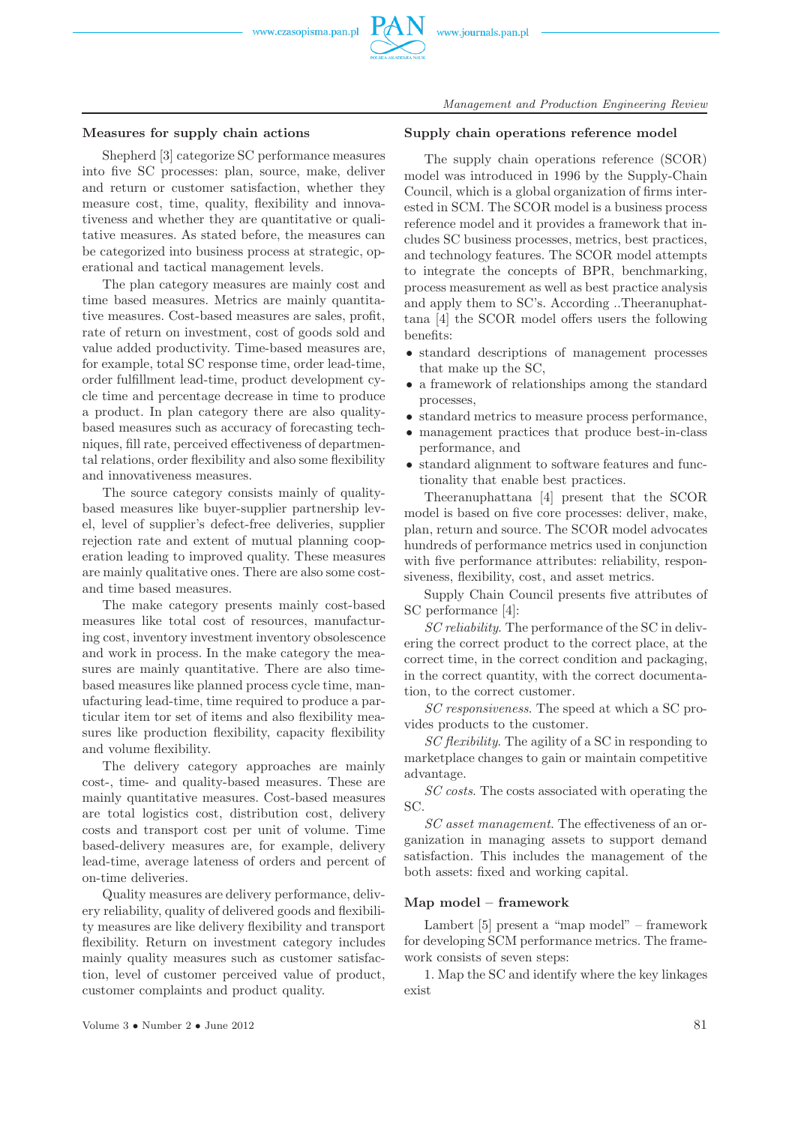

# **Measures for supply chain actions**

Shepherd [3] categorize SC performance measures into five SC processes: plan, source, make, deliver and return or customer satisfaction, whether they measure cost, time, quality, flexibility and innovativeness and whether they are quantitative or qualitative measures. As stated before, the measures can be categorized into business process at strategic, operational and tactical management levels.

The plan category measures are mainly cost and time based measures. Metrics are mainly quantitative measures. Cost-based measures are sales, profit, rate of return on investment, cost of goods sold and value added productivity. Time-based measures are, for example, total SC response time, order lead-time, order fulfillment lead-time, product development cycle time and percentage decrease in time to produce a product. In plan category there are also qualitybased measures such as accuracy of forecasting techniques, fill rate, perceived effectiveness of departmental relations, order flexibility and also some flexibility and innovativeness measures.

The source category consists mainly of qualitybased measures like buyer-supplier partnership level, level of supplier's defect-free deliveries, supplier rejection rate and extent of mutual planning cooperation leading to improved quality. These measures are mainly qualitative ones. There are also some costand time based measures.

The make category presents mainly cost-based measures like total cost of resources, manufacturing cost, inventory investment inventory obsolescence and work in process. In the make category the measures are mainly quantitative. There are also timebased measures like planned process cycle time, manufacturing lead-time, time required to produce a particular item tor set of items and also flexibility measures like production flexibility, capacity flexibility and volume flexibility.

The delivery category approaches are mainly cost-, time- and quality-based measures. These are mainly quantitative measures. Cost-based measures are total logistics cost, distribution cost, delivery costs and transport cost per unit of volume. Time based-delivery measures are, for example, delivery lead-time, average lateness of orders and percent of on-time deliveries.

Quality measures are delivery performance, delivery reliability, quality of delivered goods and flexibility measures are like delivery flexibility and transport flexibility. Return on investment category includes mainly quality measures such as customer satisfaction, level of customer perceived value of product, customer complaints and product quality.

## **Supply chain operations reference model**

The supply chain operations reference (SCOR) model was introduced in 1996 by the Supply-Chain Council, which is a global organization of firms interested in SCM. The SCOR model is a business process reference model and it provides a framework that includes SC business processes, metrics, best practices, and technology features. The SCOR model attempts to integrate the concepts of BPR, benchmarking, process measurement as well as best practice analysis and apply them to SC's. According ..Theeranuphattana [4] the SCOR model offers users the following benefits:

- standard descriptions of management processes that make up the SC,
- a framework of relationships among the standard processes,
- standard metrics to measure process performance,
- management practices that produce best-in-class performance, and
- standard alignment to software features and functionality that enable best practices.

Theeranuphattana [4] present that the SCOR model is based on five core processes: deliver, make, plan, return and source. The SCOR model advocates hundreds of performance metrics used in conjunction with five performance attributes: reliability, responsiveness, flexibility, cost, and asset metrics.

Supply Chain Council presents five attributes of SC performance [4]:

*SC reliability*. The performance of the SC in delivering the correct product to the correct place, at the correct time, in the correct condition and packaging, in the correct quantity, with the correct documentation, to the correct customer.

*SC responsiveness*. The speed at which a SC provides products to the customer.

*SC flexibility*. The agility of a SC in responding to marketplace changes to gain or maintain competitive advantage.

*SC costs*. The costs associated with operating the SC.

*SC asset management*. The effectiveness of an organization in managing assets to support demand satisfaction. This includes the management of the both assets: fixed and working capital.

## **Map model – framework**

Lambert [5] present a "map model" – framework for developing SCM performance metrics. The framework consists of seven steps:

1. Map the SC and identify where the key linkages exist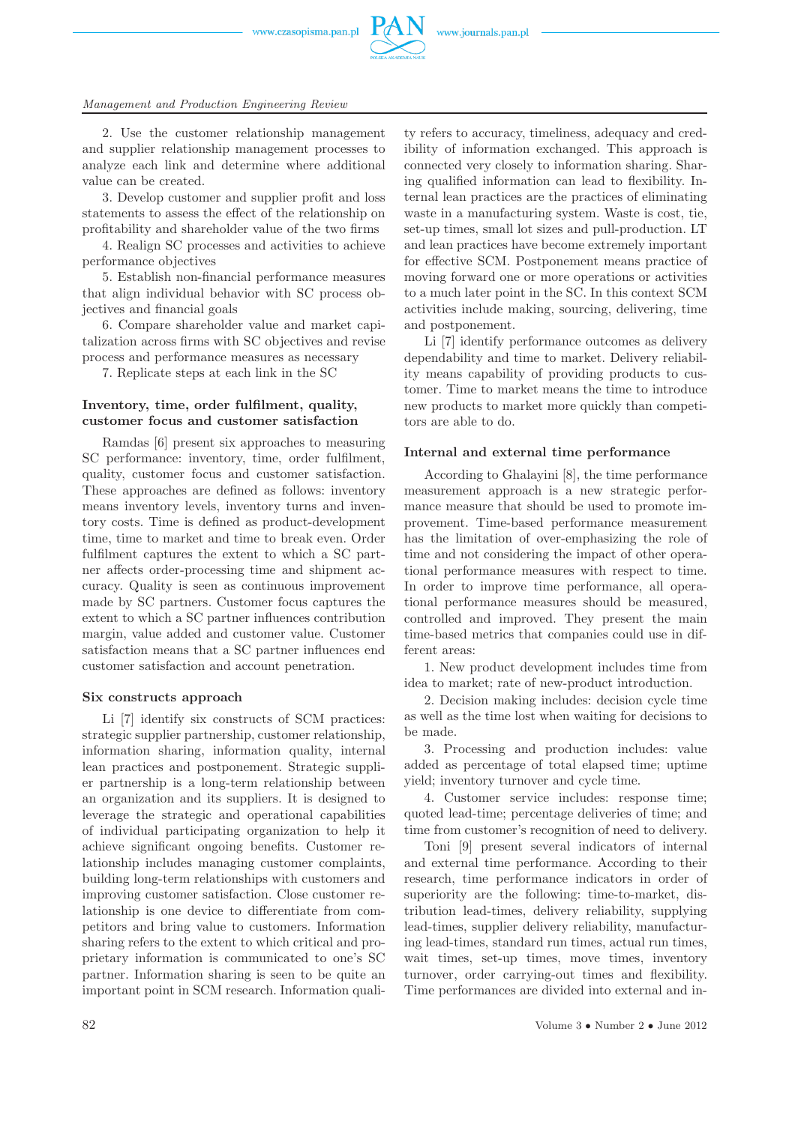www.czasopisma.pan.pl



#### *Management and Production Engineering Review*

2. Use the customer relationship management and supplier relationship management processes to analyze each link and determine where additional value can be created.

3. Develop customer and supplier profit and loss statements to assess the effect of the relationship on profitability and shareholder value of the two firms

4. Realign SC processes and activities to achieve performance objectives

5. Establish non-financial performance measures that align individual behavior with SC process objectives and financial goals

6. Compare shareholder value and market capitalization across firms with SC objectives and revise process and performance measures as necessary

7. Replicate steps at each link in the SC

## **Inventory, time, order fulfilment, quality, customer focus and customer satisfaction**

Ramdas [6] present six approaches to measuring SC performance: inventory, time, order fulfilment, quality, customer focus and customer satisfaction. These approaches are defined as follows: inventory means inventory levels, inventory turns and inventory costs. Time is defined as product-development time, time to market and time to break even. Order fulfilment captures the extent to which a SC partner affects order-processing time and shipment accuracy. Quality is seen as continuous improvement made by SC partners. Customer focus captures the extent to which a SC partner influences contribution margin, value added and customer value. Customer satisfaction means that a SC partner influences end customer satisfaction and account penetration.

#### **Six constructs approach**

Li [7] identify six constructs of SCM practices: strategic supplier partnership, customer relationship, information sharing, information quality, internal lean practices and postponement. Strategic supplier partnership is a long-term relationship between an organization and its suppliers. It is designed to leverage the strategic and operational capabilities of individual participating organization to help it achieve significant ongoing benefits. Customer relationship includes managing customer complaints, building long-term relationships with customers and improving customer satisfaction. Close customer relationship is one device to differentiate from competitors and bring value to customers. Information sharing refers to the extent to which critical and proprietary information is communicated to one's SC partner. Information sharing is seen to be quite an important point in SCM research. Information quality refers to accuracy, timeliness, adequacy and credibility of information exchanged. This approach is connected very closely to information sharing. Sharing qualified information can lead to flexibility. Internal lean practices are the practices of eliminating waste in a manufacturing system. Waste is cost, tie, set-up times, small lot sizes and pull-production. LT and lean practices have become extremely important for effective SCM. Postponement means practice of moving forward one or more operations or activities to a much later point in the SC. In this context SCM activities include making, sourcing, delivering, time and postponement.

Li [7] identify performance outcomes as delivery dependability and time to market. Delivery reliability means capability of providing products to customer. Time to market means the time to introduce new products to market more quickly than competitors are able to do.

#### **Internal and external time performance**

According to Ghalayini [8], the time performance measurement approach is a new strategic performance measure that should be used to promote improvement. Time-based performance measurement has the limitation of over-emphasizing the role of time and not considering the impact of other operational performance measures with respect to time. In order to improve time performance, all operational performance measures should be measured, controlled and improved. They present the main time-based metrics that companies could use in different areas:

1. New product development includes time from idea to market; rate of new-product introduction.

2. Decision making includes: decision cycle time as well as the time lost when waiting for decisions to be made.

3. Processing and production includes: value added as percentage of total elapsed time; uptime yield; inventory turnover and cycle time.

4. Customer service includes: response time; quoted lead-time; percentage deliveries of time; and time from customer's recognition of need to delivery.

Toni [9] present several indicators of internal and external time performance. According to their research, time performance indicators in order of superiority are the following: time-to-market, distribution lead-times, delivery reliability, supplying lead-times, supplier delivery reliability, manufacturing lead-times, standard run times, actual run times, wait times, set-up times, move times, inventory turnover, order carrying-out times and flexibility. Time performances are divided into external and in-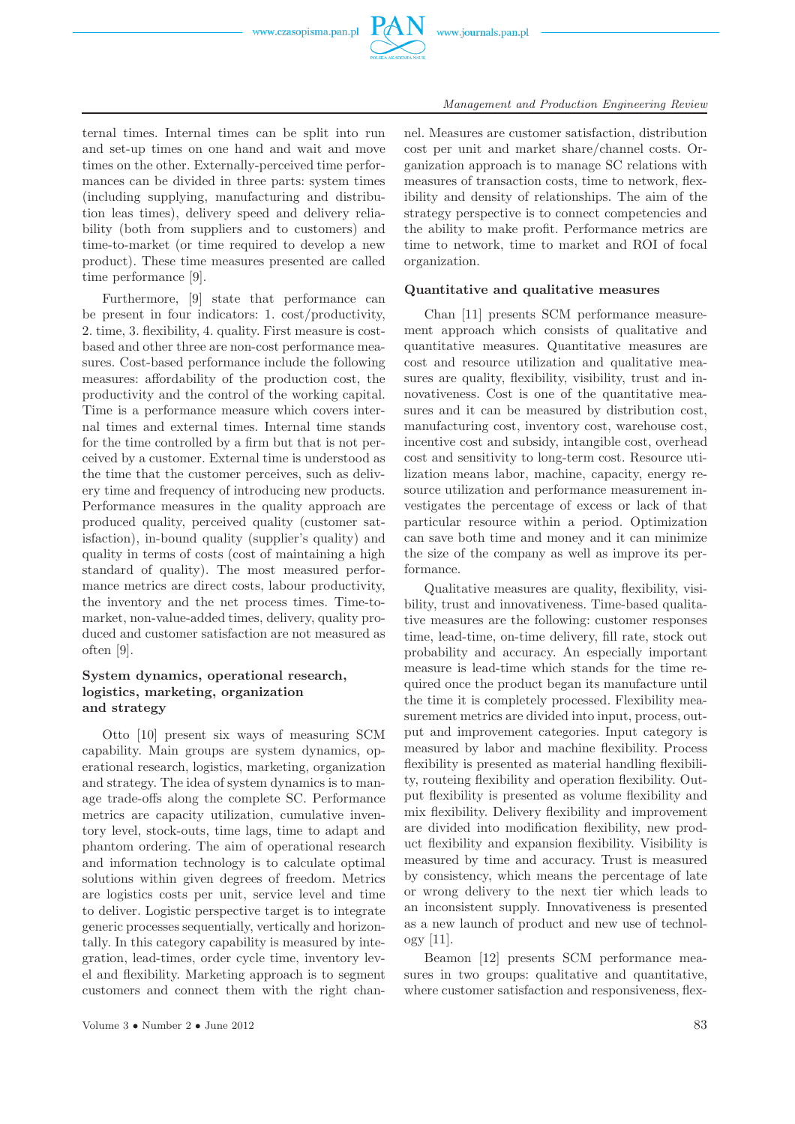

ternal times. Internal times can be split into run and set-up times on one hand and wait and move times on the other. Externally-perceived time performances can be divided in three parts: system times (including supplying, manufacturing and distribution leas times), delivery speed and delivery reliability (both from suppliers and to customers) and time-to-market (or time required to develop a new product). These time measures presented are called time performance [9].

Furthermore, [9] state that performance can be present in four indicators: 1. cost/productivity, 2. time, 3. flexibility, 4. quality. First measure is costbased and other three are non-cost performance measures. Cost-based performance include the following measures: affordability of the production cost, the productivity and the control of the working capital. Time is a performance measure which covers internal times and external times. Internal time stands for the time controlled by a firm but that is not perceived by a customer. External time is understood as the time that the customer perceives, such as delivery time and frequency of introducing new products. Performance measures in the quality approach are produced quality, perceived quality (customer satisfaction), in-bound quality (supplier's quality) and quality in terms of costs (cost of maintaining a high standard of quality). The most measured performance metrics are direct costs, labour productivity, the inventory and the net process times. Time-tomarket, non-value-added times, delivery, quality produced and customer satisfaction are not measured as often [9].

# **System dynamics, operational research, logistics, marketing, organization and strategy**

Otto [10] present six ways of measuring SCM capability. Main groups are system dynamics, operational research, logistics, marketing, organization and strategy. The idea of system dynamics is to manage trade-offs along the complete SC. Performance metrics are capacity utilization, cumulative inventory level, stock-outs, time lags, time to adapt and phantom ordering. The aim of operational research and information technology is to calculate optimal solutions within given degrees of freedom. Metrics are logistics costs per unit, service level and time to deliver. Logistic perspective target is to integrate generic processes sequentially, vertically and horizontally. In this category capability is measured by integration, lead-times, order cycle time, inventory level and flexibility. Marketing approach is to segment customers and connect them with the right chan-

nel. Measures are customer satisfaction, distribution cost per unit and market share/channel costs. Organization approach is to manage SC relations with measures of transaction costs, time to network, flexibility and density of relationships. The aim of the strategy perspective is to connect competencies and the ability to make profit. Performance metrics are time to network, time to market and ROI of focal organization.

#### **Quantitative and qualitative measures**

Chan [11] presents SCM performance measurement approach which consists of qualitative and quantitative measures. Quantitative measures are cost and resource utilization and qualitative measures are quality, flexibility, visibility, trust and innovativeness. Cost is one of the quantitative measures and it can be measured by distribution cost, manufacturing cost, inventory cost, warehouse cost, incentive cost and subsidy, intangible cost, overhead cost and sensitivity to long-term cost. Resource utilization means labor, machine, capacity, energy resource utilization and performance measurement investigates the percentage of excess or lack of that particular resource within a period. Optimization can save both time and money and it can minimize the size of the company as well as improve its performance.

Qualitative measures are quality, flexibility, visibility, trust and innovativeness. Time-based qualitative measures are the following: customer responses time, lead-time, on-time delivery, fill rate, stock out probability and accuracy. An especially important measure is lead-time which stands for the time required once the product began its manufacture until the time it is completely processed. Flexibility measurement metrics are divided into input, process, output and improvement categories. Input category is measured by labor and machine flexibility. Process flexibility is presented as material handling flexibility, routeing flexibility and operation flexibility. Output flexibility is presented as volume flexibility and mix flexibility. Delivery flexibility and improvement are divided into modification flexibility, new product flexibility and expansion flexibility. Visibility is measured by time and accuracy. Trust is measured by consistency, which means the percentage of late or wrong delivery to the next tier which leads to an inconsistent supply. Innovativeness is presented as a new launch of product and new use of technology [11].

Beamon [12] presents SCM performance measures in two groups: qualitative and quantitative, where customer satisfaction and responsiveness, flex-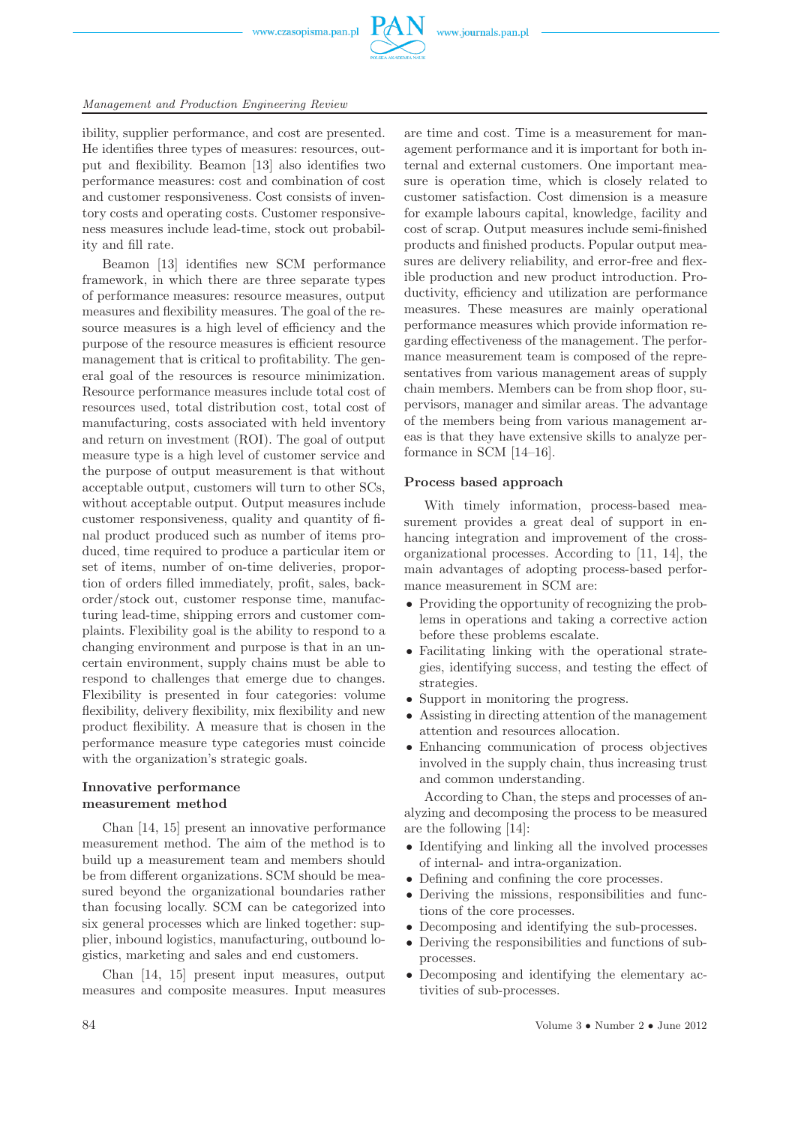

ibility, supplier performance, and cost are presented. He identifies three types of measures: resources, output and flexibility. Beamon [13] also identifies two performance measures: cost and combination of cost and customer responsiveness. Cost consists of inventory costs and operating costs. Customer responsiveness measures include lead-time, stock out probability and fill rate.

Beamon [13] identifies new SCM performance framework, in which there are three separate types of performance measures: resource measures, output measures and flexibility measures. The goal of the resource measures is a high level of efficiency and the purpose of the resource measures is efficient resource management that is critical to profitability. The general goal of the resources is resource minimization. Resource performance measures include total cost of resources used, total distribution cost, total cost of manufacturing, costs associated with held inventory and return on investment (ROI). The goal of output measure type is a high level of customer service and the purpose of output measurement is that without acceptable output, customers will turn to other SCs, without acceptable output. Output measures include customer responsiveness, quality and quantity of final product produced such as number of items produced, time required to produce a particular item or set of items, number of on-time deliveries, proportion of orders filled immediately, profit, sales, backorder/stock out, customer response time, manufacturing lead-time, shipping errors and customer complaints. Flexibility goal is the ability to respond to a changing environment and purpose is that in an uncertain environment, supply chains must be able to respond to challenges that emerge due to changes. Flexibility is presented in four categories: volume flexibility, delivery flexibility, mix flexibility and new product flexibility. A measure that is chosen in the performance measure type categories must coincide with the organization's strategic goals.

# **Innovative performance measurement method**

Chan [14, 15] present an innovative performance measurement method. The aim of the method is to build up a measurement team and members should be from different organizations. SCM should be measured beyond the organizational boundaries rather than focusing locally. SCM can be categorized into six general processes which are linked together: supplier, inbound logistics, manufacturing, outbound logistics, marketing and sales and end customers.

Chan [14, 15] present input measures, output measures and composite measures. Input measures

are time and cost. Time is a measurement for management performance and it is important for both internal and external customers. One important measure is operation time, which is closely related to customer satisfaction. Cost dimension is a measure for example labours capital, knowledge, facility and cost of scrap. Output measures include semi-finished products and finished products. Popular output measures are delivery reliability, and error-free and flexible production and new product introduction. Productivity, efficiency and utilization are performance measures. These measures are mainly operational performance measures which provide information regarding effectiveness of the management. The performance measurement team is composed of the representatives from various management areas of supply chain members. Members can be from shop floor, supervisors, manager and similar areas. The advantage of the members being from various management areas is that they have extensive skills to analyze performance in SCM [14–16].

#### **Process based approach**

With timely information, process-based measurement provides a great deal of support in enhancing integration and improvement of the crossorganizational processes. According to [11, 14], the main advantages of adopting process-based performance measurement in SCM are:

- Providing the opportunity of recognizing the problems in operations and taking a corrective action before these problems escalate.
- Facilitating linking with the operational strategies, identifying success, and testing the effect of strategies.
- Support in monitoring the progress.
- Assisting in directing attention of the management attention and resources allocation.
- Enhancing communication of process objectives involved in the supply chain, thus increasing trust and common understanding.

According to Chan, the steps and processes of analyzing and decomposing the process to be measured are the following [14]:

- Identifying and linking all the involved processes of internal- and intra-organization.
- Defining and confining the core processes.
- Deriving the missions, responsibilities and functions of the core processes.
- Decomposing and identifying the sub-processes.
- Deriving the responsibilities and functions of subprocesses.
- Decomposing and identifying the elementary activities of sub-processes.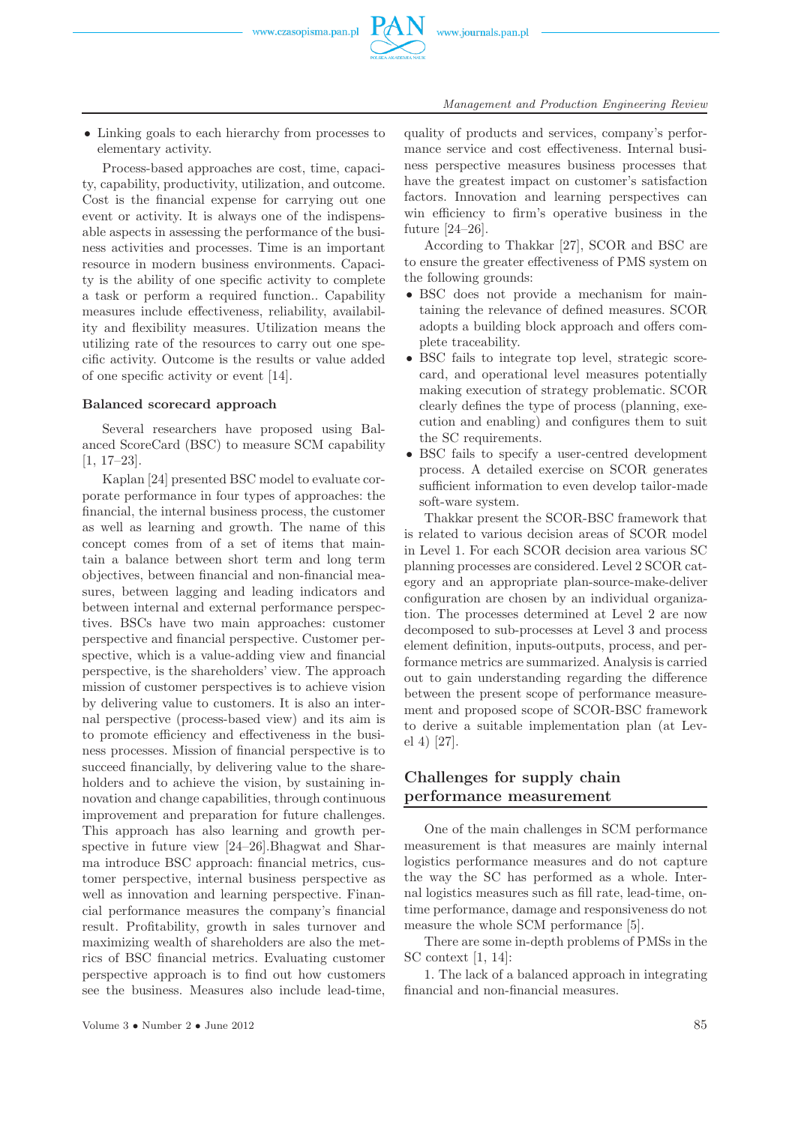• Linking goals to each hierarchy from processes to elementary activity.

Process-based approaches are cost, time, capacity, capability, productivity, utilization, and outcome. Cost is the financial expense for carrying out one event or activity. It is always one of the indispensable aspects in assessing the performance of the business activities and processes. Time is an important resource in modern business environments. Capacity is the ability of one specific activity to complete a task or perform a required function.. Capability measures include effectiveness, reliability, availability and flexibility measures. Utilization means the utilizing rate of the resources to carry out one specific activity. Outcome is the results or value added of one specific activity or event [14].

#### **Balanced scorecard approach**

Several researchers have proposed using Balanced ScoreCard (BSC) to measure SCM capability [1, 17–23].

Kaplan [24] presented BSC model to evaluate corporate performance in four types of approaches: the financial, the internal business process, the customer as well as learning and growth. The name of this concept comes from of a set of items that maintain a balance between short term and long term objectives, between financial and non-financial measures, between lagging and leading indicators and between internal and external performance perspectives. BSCs have two main approaches: customer perspective and financial perspective. Customer perspective, which is a value-adding view and financial perspective, is the shareholders' view. The approach mission of customer perspectives is to achieve vision by delivering value to customers. It is also an internal perspective (process-based view) and its aim is to promote efficiency and effectiveness in the business processes. Mission of financial perspective is to succeed financially, by delivering value to the shareholders and to achieve the vision, by sustaining innovation and change capabilities, through continuous improvement and preparation for future challenges. This approach has also learning and growth perspective in future view [24–26].Bhagwat and Sharma introduce BSC approach: financial metrics, customer perspective, internal business perspective as well as innovation and learning perspective. Financial performance measures the company's financial result. Profitability, growth in sales turnover and maximizing wealth of shareholders are also the metrics of BSC financial metrics. Evaluating customer perspective approach is to find out how customers see the business. Measures also include lead-time,

quality of products and services, company's performance service and cost effectiveness. Internal business perspective measures business processes that have the greatest impact on customer's satisfaction factors. Innovation and learning perspectives can win efficiency to firm's operative business in the future [24–26].

According to Thakkar [27], SCOR and BSC are to ensure the greater effectiveness of PMS system on the following grounds:

- BSC does not provide a mechanism for maintaining the relevance of defined measures. SCOR adopts a building block approach and offers complete traceability.
- BSC fails to integrate top level, strategic scorecard, and operational level measures potentially making execution of strategy problematic. SCOR clearly defines the type of process (planning, execution and enabling) and configures them to suit the SC requirements.
- BSC fails to specify a user-centred development process. A detailed exercise on SCOR generates sufficient information to even develop tailor-made soft-ware system.

Thakkar present the SCOR-BSC framework that is related to various decision areas of SCOR model in Level 1. For each SCOR decision area various SC planning processes are considered. Level 2 SCOR category and an appropriate plan-source-make-deliver configuration are chosen by an individual organization. The processes determined at Level 2 are now decomposed to sub-processes at Level 3 and process element definition, inputs-outputs, process, and performance metrics are summarized. Analysis is carried out to gain understanding regarding the difference between the present scope of performance measurement and proposed scope of SCOR-BSC framework to derive a suitable implementation plan (at Level 4) [27].

# **Challenges for supply chain performance measurement**

One of the main challenges in SCM performance measurement is that measures are mainly internal logistics performance measures and do not capture the way the SC has performed as a whole. Internal logistics measures such as fill rate, lead-time, ontime performance, damage and responsiveness do not measure the whole SCM performance [5].

There are some in-depth problems of PMSs in the SC context [1, 14]:

1. The lack of a balanced approach in integrating financial and non-financial measures.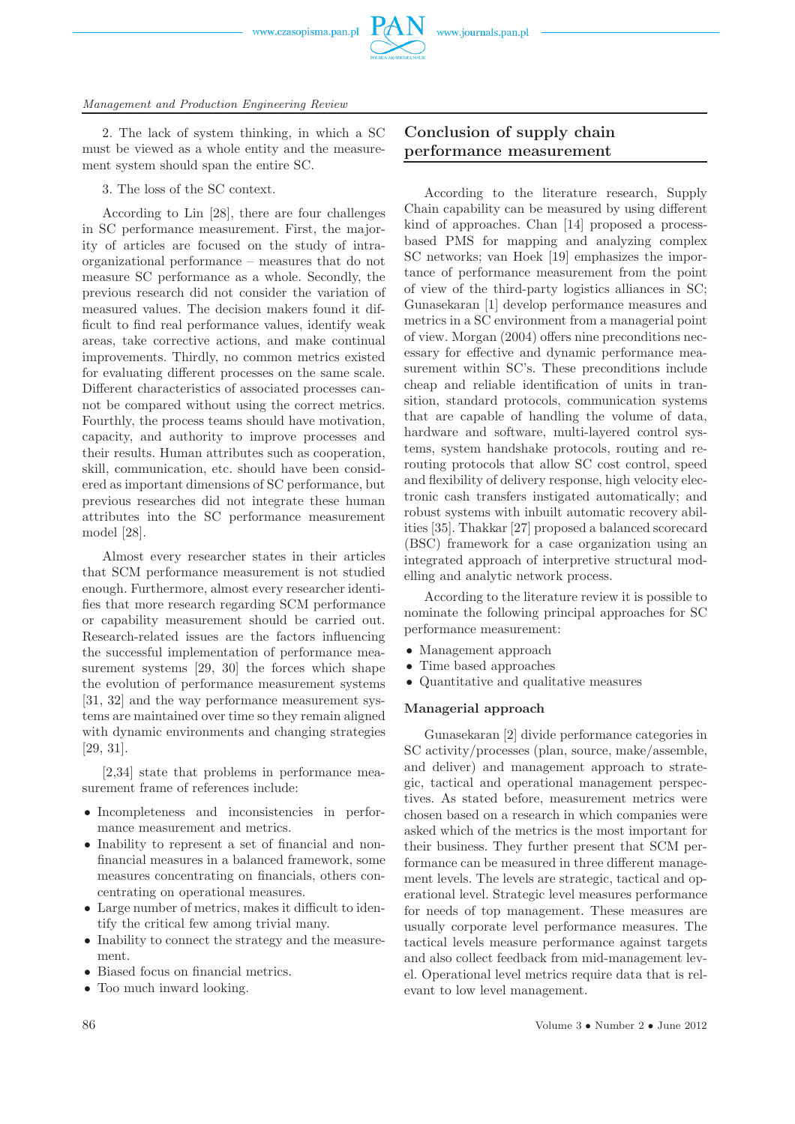www.czasopisma.pan.pl



2. The lack of system thinking, in which a SC must be viewed as a whole entity and the measurement system should span the entire SC.

3. The loss of the SC context.

According to Lin [28], there are four challenges in SC performance measurement. First, the majority of articles are focused on the study of intraorganizational performance – measures that do not measure SC performance as a whole. Secondly, the previous research did not consider the variation of measured values. The decision makers found it difficult to find real performance values, identify weak areas, take corrective actions, and make continual improvements. Thirdly, no common metrics existed for evaluating different processes on the same scale. Different characteristics of associated processes cannot be compared without using the correct metrics. Fourthly, the process teams should have motivation, capacity, and authority to improve processes and their results. Human attributes such as cooperation, skill, communication, etc. should have been considered as important dimensions of SC performance, but previous researches did not integrate these human attributes into the SC performance measurement model [28].

Almost every researcher states in their articles that SCM performance measurement is not studied enough. Furthermore, almost every researcher identifies that more research regarding SCM performance or capability measurement should be carried out. Research-related issues are the factors influencing the successful implementation of performance measurement systems [29, 30] the forces which shape the evolution of performance measurement systems [31, 32] and the way performance measurement systems are maintained over time so they remain aligned with dynamic environments and changing strategies [29, 31].

[2,34] state that problems in performance measurement frame of references include:

- Incompleteness and inconsistencies in performance measurement and metrics.
- Inability to represent a set of financial and nonfinancial measures in a balanced framework, some measures concentrating on financials, others concentrating on operational measures.
- Large number of metrics, makes it difficult to identify the critical few among trivial many.
- Inability to connect the strategy and the measurement.
- Biased focus on financial metrics.
- Too much inward looking.

# **Conclusion of supply chain performance measurement**

According to the literature research, Supply Chain capability can be measured by using different kind of approaches. Chan [14] proposed a processbased PMS for mapping and analyzing complex SC networks; van Hoek [19] emphasizes the importance of performance measurement from the point of view of the third-party logistics alliances in SC; Gunasekaran [1] develop performance measures and metrics in a SC environment from a managerial point of view. Morgan (2004) offers nine preconditions necessary for effective and dynamic performance measurement within SC's. These preconditions include cheap and reliable identification of units in transition, standard protocols, communication systems that are capable of handling the volume of data, hardware and software, multi-layered control systems, system handshake protocols, routing and rerouting protocols that allow SC cost control, speed and flexibility of delivery response, high velocity electronic cash transfers instigated automatically; and robust systems with inbuilt automatic recovery abilities [35]. Thakkar [27] proposed a balanced scorecard (BSC) framework for a case organization using an integrated approach of interpretive structural modelling and analytic network process.

According to the literature review it is possible to nominate the following principal approaches for SC performance measurement:

- Management approach
- Time based approaches
- Quantitative and qualitative measures

## **Managerial approach**

Gunasekaran [2] divide performance categories in SC activity/processes (plan, source, make/assemble, and deliver) and management approach to strategic, tactical and operational management perspectives. As stated before, measurement metrics were chosen based on a research in which companies were asked which of the metrics is the most important for their business. They further present that SCM performance can be measured in three different management levels. The levels are strategic, tactical and operational level. Strategic level measures performance for needs of top management. These measures are usually corporate level performance measures. The tactical levels measure performance against targets and also collect feedback from mid-management level. Operational level metrics require data that is relevant to low level management.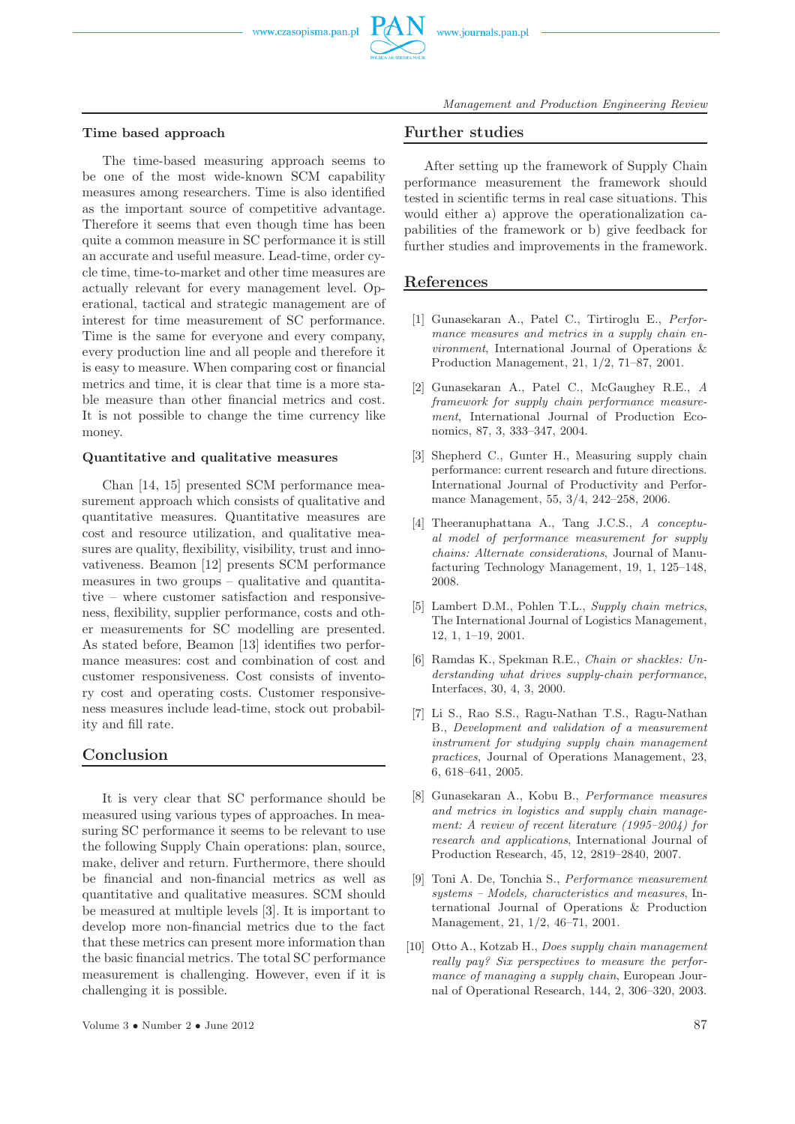#### **Time based approach**

The time-based measuring approach seems to be one of the most wide-known SCM capability measures among researchers. Time is also identified as the important source of competitive advantage. Therefore it seems that even though time has been quite a common measure in SC performance it is still an accurate and useful measure. Lead-time, order cycle time, time-to-market and other time measures are actually relevant for every management level. Operational, tactical and strategic management are of interest for time measurement of SC performance. Time is the same for everyone and every company, every production line and all people and therefore it is easy to measure. When comparing cost or financial metrics and time, it is clear that time is a more stable measure than other financial metrics and cost. It is not possible to change the time currency like money.

## **Quantitative and qualitative measures**

Chan [14, 15] presented SCM performance measurement approach which consists of qualitative and quantitative measures. Quantitative measures are cost and resource utilization, and qualitative measures are quality, flexibility, visibility, trust and innovativeness. Beamon [12] presents SCM performance measures in two groups – qualitative and quantitative – where customer satisfaction and responsiveness, flexibility, supplier performance, costs and other measurements for SC modelling are presented. As stated before, Beamon [13] identifies two performance measures: cost and combination of cost and customer responsiveness. Cost consists of inventory cost and operating costs. Customer responsiveness measures include lead-time, stock out probability and fill rate.

# **Conclusion**

It is very clear that SC performance should be measured using various types of approaches. In measuring SC performance it seems to be relevant to use the following Supply Chain operations: plan, source, make, deliver and return. Furthermore, there should be financial and non-financial metrics as well as quantitative and qualitative measures. SCM should be measured at multiple levels [3]. It is important to develop more non-financial metrics due to the fact that these metrics can present more information than the basic financial metrics. The total SC performance measurement is challenging. However, even if it is challenging it is possible.

#### **Further studies**

After setting up the framework of Supply Chain performance measurement the framework should tested in scientific terms in real case situations. This would either a) approve the operationalization capabilities of the framework or b) give feedback for further studies and improvements in the framework.

# **References**

- [1] Gunasekaran A., Patel C., Tirtiroglu E., *Performance measures and metrics in a supply chain environment*, International Journal of Operations & Production Management, 21, 1/2, 71–87, 2001.
- [2] Gunasekaran A., Patel C., McGaughey R.E., *A framework for supply chain performance measurement*, International Journal of Production Economics, 87, 3, 333–347, 2004.
- [3] Shepherd C., Gunter H., Measuring supply chain performance: current research and future directions. International Journal of Productivity and Performance Management, 55, 3/4, 242–258, 2006.
- [4] Theeranuphattana A., Tang J.C.S., *A conceptual model of performance measurement for supply chains: Alternate considerations*, Journal of Manufacturing Technology Management, 19, 1, 125–148, 2008.
- [5] Lambert D.M., Pohlen T.L., *Supply chain metrics*, The International Journal of Logistics Management, 12, 1, 1–19, 2001.
- [6] Ramdas K., Spekman R.E., *Chain or shackles: Understanding what drives supply-chain performance*, Interfaces, 30, 4, 3, 2000.
- [7] Li S., Rao S.S., Ragu-Nathan T.S., Ragu-Nathan B., *Development and validation of a measurement instrument for studying supply chain management practices*, Journal of Operations Management, 23, 6, 618–641, 2005.
- [8] Gunasekaran A., Kobu B., *Performance measures and metrics in logistics and supply chain management: A review of recent literature (1995–2004) for research and applications*, International Journal of Production Research, 45, 12, 2819–2840, 2007.
- [9] Toni A. De, Tonchia S., *Performance measurement systems – Models, characteristics and measures*, International Journal of Operations & Production Management, 21, 1/2, 46–71, 2001.
- [10] Otto A., Kotzab H., *Does supply chain management really pay? Six perspectives to measure the performance of managing a supply chain*, European Journal of Operational Research, 144, 2, 306–320, 2003.